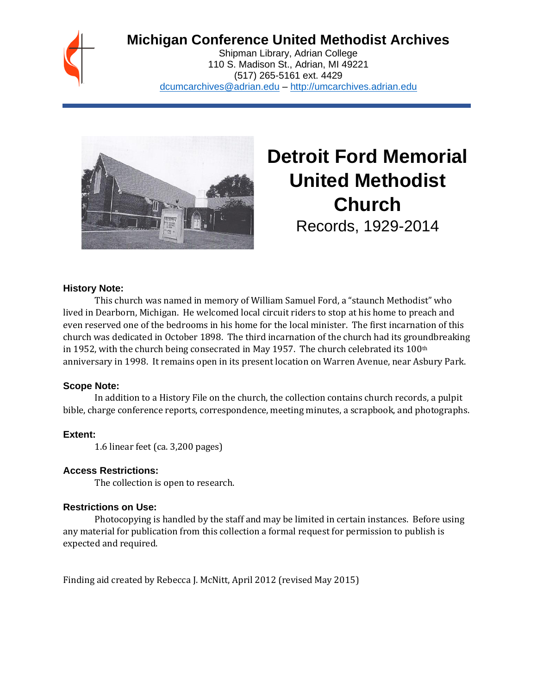

# **Michigan Conference United Methodist Archives**

Shipman Library, Adrian College 110 S. Madison St., Adrian, MI 49221 (517) 265-5161 ext. 4429 [dcumcarchives@adrian.edu](mailto:dcumcarchives@adrian.edu) – [http://umcarchives.adrian.edu](http://umcarchives.adrian.edu/)



# **Detroit Ford Memorial United Methodist Church** Records, 1929-2014

#### **History Note:**

This church was named in memory of William Samuel Ford, a "staunch Methodist" who lived in Dearborn, Michigan. He welcomed local circuit riders to stop at his home to preach and even reserved one of the bedrooms in his home for the local minister. The first incarnation of this church was dedicated in October 1898. The third incarnation of the church had its groundbreaking in 1952, with the church being consecrated in May 1957. The church celebrated its  $100<sup>th</sup>$ anniversary in 1998. It remains open in its present location on Warren Avenue, near Asbury Park.

#### **Scope Note:**

In addition to a History File on the church, the collection contains church records, a pulpit bible, charge conference reports, correspondence, meeting minutes, a scrapbook, and photographs.

#### **Extent:**

1.6 linear feet (ca. 3,200 pages)

#### **Access Restrictions:**

The collection is open to research.

#### **Restrictions on Use:**

Photocopying is handled by the staff and may be limited in certain instances. Before using any material for publication from this collection a formal request for permission to publish is expected and required.

Finding aid created by Rebecca J. McNitt, April 2012 (revised May 2015)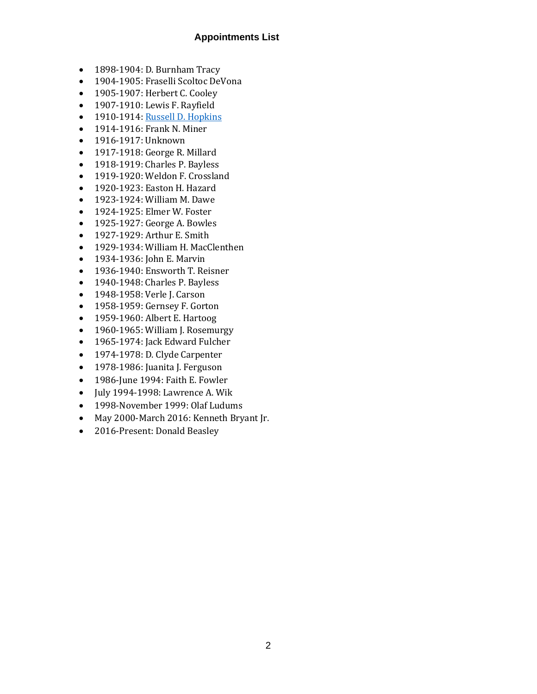#### **Appointments List**

- 1898-1904: D. Burnham Tracy
- 1904-1905: Fraselli Scoltoc DeVona
- 1905-1907: Herbert C. Cooley
- 1907-1910: Lewis F. Rayfield
- 1910-1914[: Russell D. Hopkins](http://umcarchives.adrian.edu/clergy/hopkinsrd.php)
- 1914-1916: Frank N. Miner
- 1916-1917: Unknown
- 1917-1918: George R. Millard
- 1918-1919: Charles P. Bayless
- 1919-1920: Weldon F. Crossland
- 1920-1923: Easton H. Hazard
- 1923-1924: William M. Dawe
- 1924-1925: Elmer W. Foster
- 1925-1927: George A. Bowles
- 1927-1929: Arthur E. Smith
- 1929-1934: William H. MacClenthen
- 1934-1936: John E. Marvin
- 1936-1940: Ensworth T. Reisner
- 1940-1948: Charles P. Bayless
- 1948-1958: Verle J. Carson
- 1958-1959: Gernsey F. Gorton
- 1959-1960: Albert E. Hartoog
- 1960-1965: William J. Rosemurgy
- 1965-1974: Jack Edward Fulcher
- 1974-1978: D. Clyde Carpenter
- 1978-1986: Juanita J. Ferguson
- 1986-June 1994: Faith E. Fowler
- July 1994-1998: Lawrence A. Wik
- 1998-November 1999: Olaf Ludums
- May 2000-March 2016: Kenneth Bryant Jr.
- 2016-Present: Donald Beasley